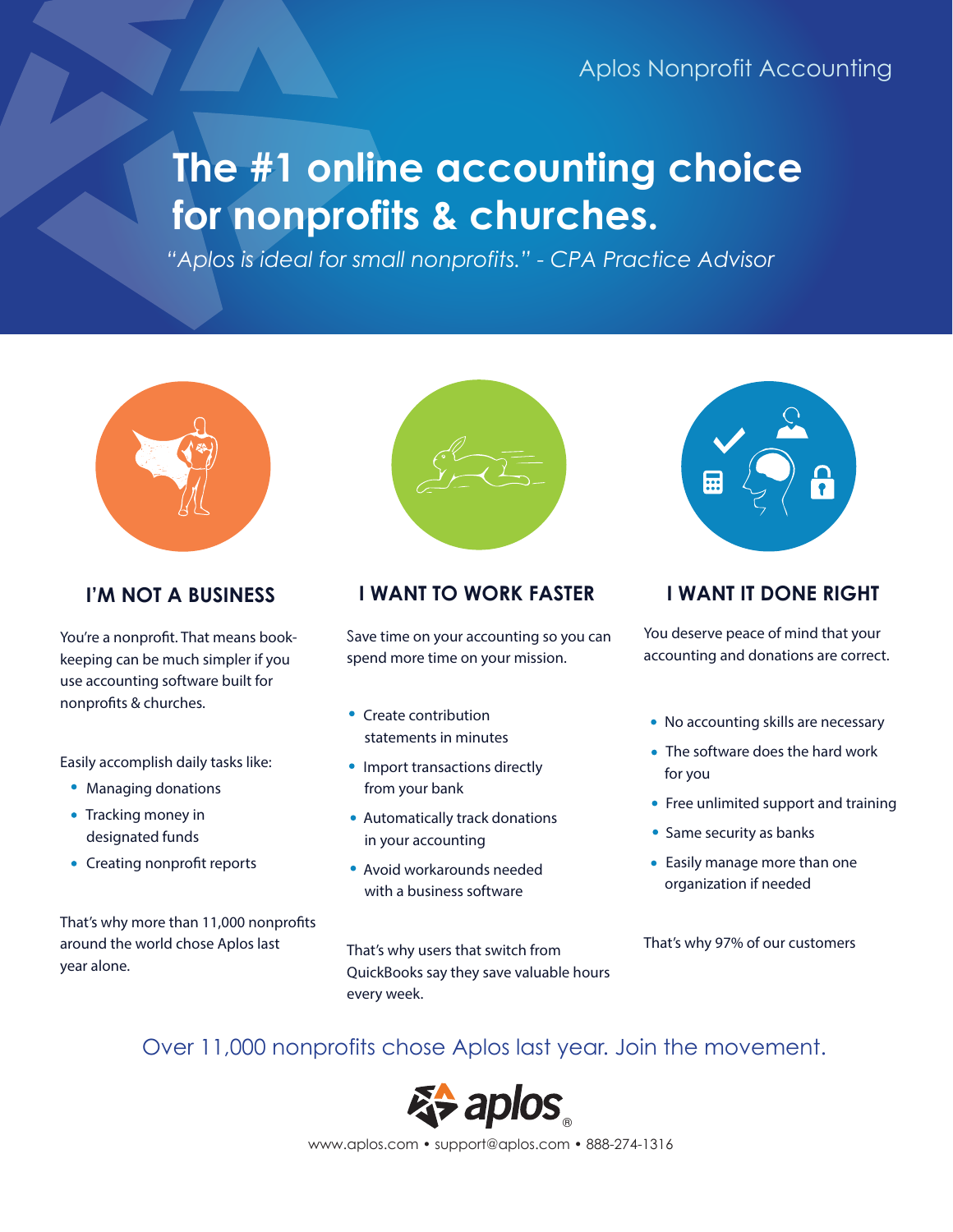# **The #1 online accounting choice for nonprofits & churches.**

*"Aplos is ideal for small nonprofits." - CPA Practice Advisor*



You're a nonproft. That means bookkeeping can be much simpler if you use accounting software built for nonprofts & churches.

Easily accomplish daily tasks like:

- Managing donations
- Tracking money in designated funds
- Creating nonprofit reports

That's why more than 11,000 nonprofts around the world chose Aplos last year alone.



### **I'M NOT A BUSINESS I WANT TO WORK FASTER I WANT IT DONE RIGHT**

Save time on your accounting so you can spend more time on your mission.

- Create contribution statements in minutes
- Import transactions directly from your bank
- Automatically track donations in your accounting
- Avoid workarounds needed with a business software

That's why users that switch from QuickBooks say they save valuable hours every week.



You deserve peace of mind that your accounting and donations are correct.

- No accounting skills are necessary
- The software does the hard work for you
- Free unlimited support and training
- Same security as banks
- Easily manage more than one organization if needed

That's why 97% of our customers

# Over 11,000 nonprofits chose Aplos last year. Join the movement.



www.aplos.com • support@aplos.com • 888-274-1316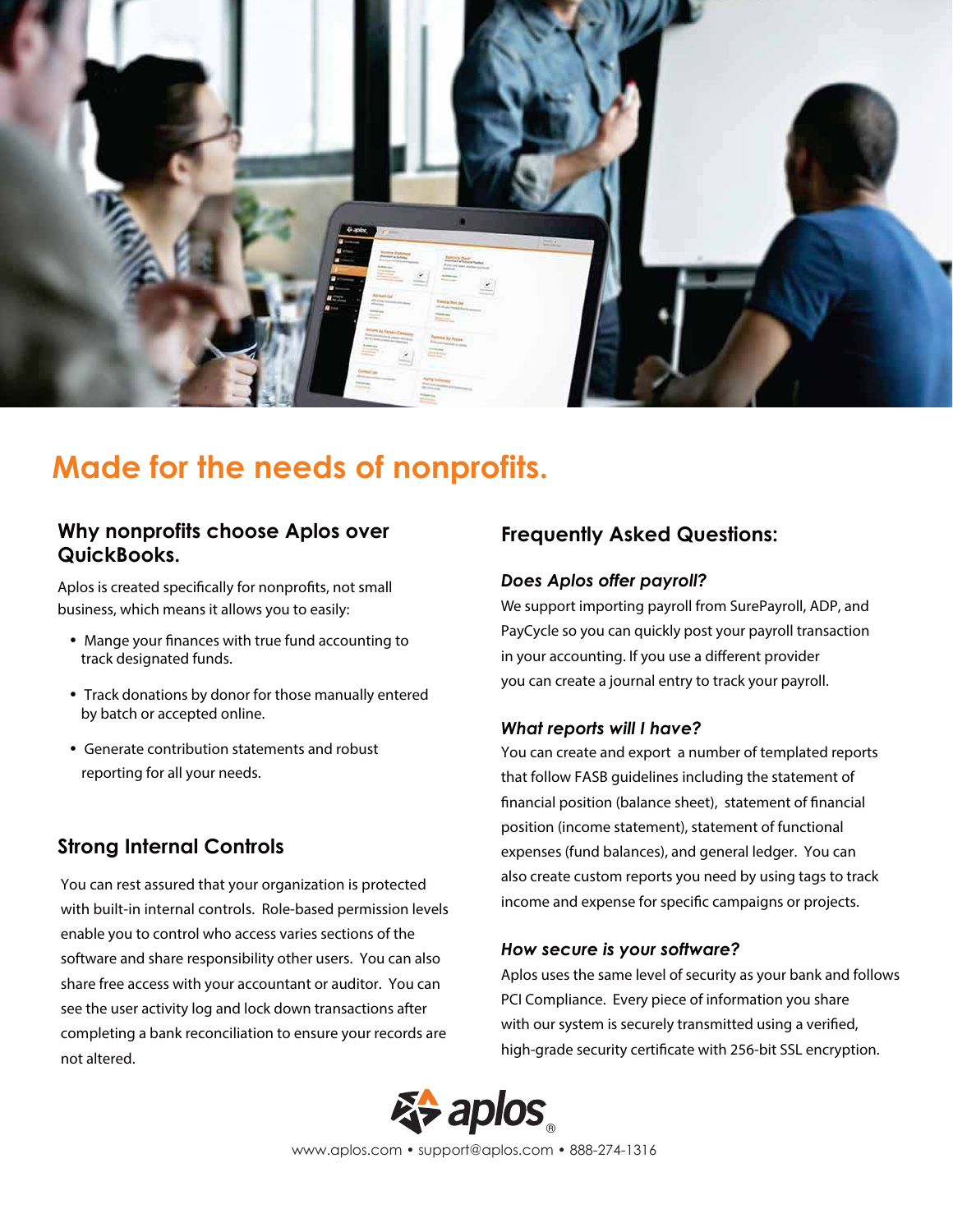

# **Made for the needs of nonprofits.**

#### **Why nonprofits choose Aplos over QuickBooks.**

Aplos is created specifcally for nonprofts, not small business, which means it allows you to easily:

- Mange your fnances with true fund accounting to track designated funds.
- Track donations by donor for those manually entered by batch or accepted online.
- Generate contribution statements and robust reporting for all your needs.

### **Strong Internal Controls**

You can rest assured that your organization is protected with built-in internal controls. Role-based permission levels enable you to control who access varies sections of the software and share responsibility other users. You can also share free access with your accountant or auditor. You can see the user activity log and lock down transactions after completing a bank reconciliation to ensure your records are not altered.

### **Frequently Asked Questions:**

#### *Does Aplos offer payroll?*

We support importing payroll from SurePayroll, ADP, and PayCycle so you can quickly post your payroll transaction in your accounting. If you use a diferent provider you can create a journal entry to track your payroll.

#### *What reports will I have?*

You can create and export a number of templated reports that follow FASB guidelines including the statement of fnancial position (balance sheet), statement of fnancial position (income statement), statement of functional expenses (fund balances), and general ledger. You can also create custom reports you need by using tags to track income and expense for specifc campaigns or projects.

#### *How secure is your software?*

Aplos uses the same level of security as your bank and follows PCI Compliance. Every piece of information you share with our system is securely transmitted using a verifed, high-grade security certifcate with 256-bit SSL encryption.



www.aplos.com • support@aplos.com • 888-274-1316